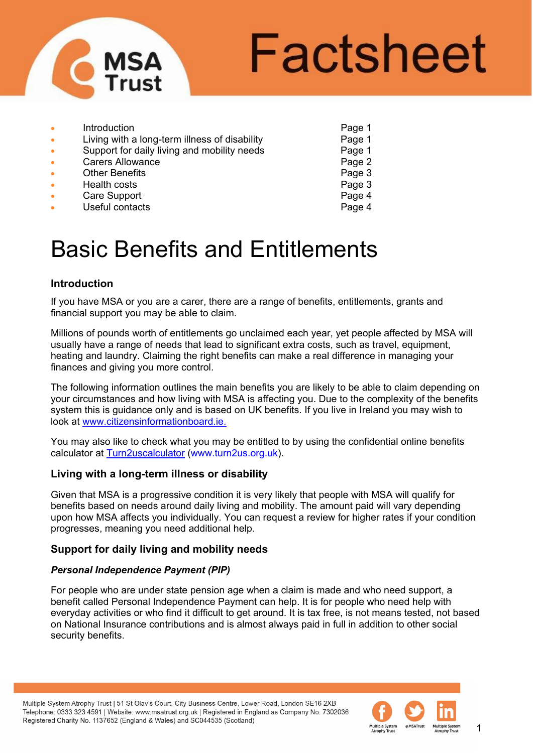

# Factsheet

| Page 1 |
|--------|
|        |
| Page 1 |
| Page 2 |
| Page 3 |
| Page 3 |
| Page 4 |
| Page 4 |
|        |

# Basic Benefits and Entitlements

### **Introduction**

If you have MSA or you are a carer, there are a range of benefits, entitlements, grants and financial support you may be able to claim.

Millions of pounds worth of entitlements go unclaimed each year, yet people affected by MSA will usually have a range of needs that lead to significant extra costs, such as travel, equipment, heating and laundry. Claiming the right benefits can make a real difference in managing your finances and giving you more control.

The following information outlines the main benefits you are likely to be able to claim depending on your circumstances and how living with MSA is affecting you. Due to the complexity of the benefits system this is guidance only and is based on UK benefits. If you live in Ireland you may wish to look at [www.citizensinformationboard.ie.](http://www.citizensinformationboard.ie/)

You may also like to check what you may be entitled to by using the confidential online benefits calculator at [Turn2uscalculator](https://www.turn2us.org.uk/Find-Benefits-Grants?gclid=Cj0KEQiAtMSzBRDs7fvDosLZmpoBEiQADzG1vEMDva09kDd9tQu3PIayR1it6vbPkC2usC2-5ZjZV6saAkhS8P8HAQ) (www.turn2us.org.uk).

#### **Living with a long-term illness or disability**

Given that MSA is a progressive condition it is very likely that people with MSA will qualify for benefits based on needs around daily living and mobility. The amount paid will vary depending upon how MSA affects you individually. You can request a review for higher rates if your condition progresses, meaning you need additional help.

#### **Support for daily living and mobility needs**

#### *Personal Independence Payment (PIP)*

For people who are under state pension age when a claim is made and who need support, a benefit called Personal Independence Payment can help. It is for people who need help with everyday activities or who find it difficult to get around. It is tax free, is not means tested, not based on National Insurance contributions and is almost always paid in full in addition to other social security benefits.

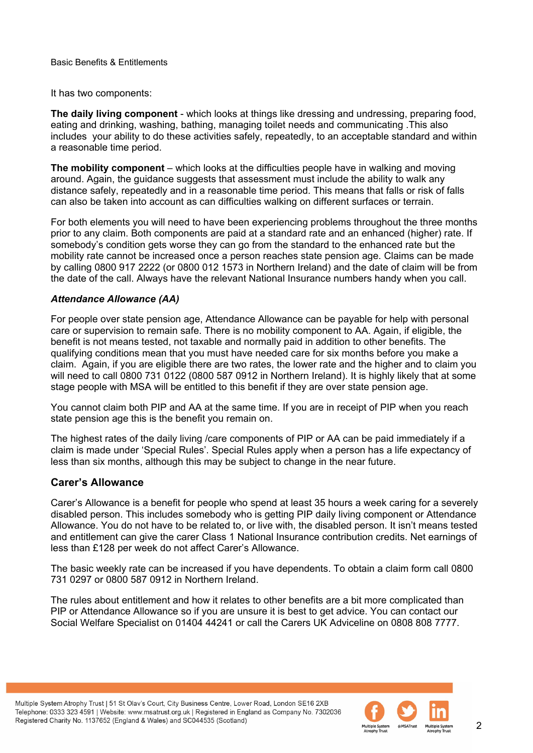It has two components:

**The daily living component** - which looks at things like dressing and undressing, preparing food, eating and drinking, washing, bathing, managing toilet needs and communicating .This also includes your ability to do these activities safely, repeatedly, to an acceptable standard and within a reasonable time period.

**The mobility component** – which looks at the difficulties people have in walking and moving around. Again, the guidance suggests that assessment must include the ability to walk any distance safely, repeatedly and in a reasonable time period. This means that falls or risk of falls can also be taken into account as can difficulties walking on different surfaces or terrain.

For both elements you will need to have been experiencing problems throughout the three months prior to any claim. Both components are paid at a standard rate and an enhanced (higher) rate. If somebody's condition gets worse they can go from the standard to the enhanced rate but the mobility rate cannot be increased once a person reaches state pension age. Claims can be made by calling 0800 917 2222 (or 0800 012 1573 in Northern Ireland) and the date of claim will be from the date of the call. Always have the relevant National Insurance numbers handy when you call.

#### *Attendance Allowance (AA)*

For people over state pension age, Attendance Allowance can be payable for help with personal care or supervision to remain safe. There is no mobility component to AA. Again, if eligible, the benefit is not means tested, not taxable and normally paid in addition to other benefits. The qualifying conditions mean that you must have needed care for six months before you make a claim. Again, if you are eligible there are two rates, the lower rate and the higher and to claim you will need to call 0800 731 0122 (0800 587 0912 in Northern Ireland). It is highly likely that at some stage people with MSA will be entitled to this benefit if they are over state pension age.

You cannot claim both PIP and AA at the same time. If you are in receipt of PIP when you reach state pension age this is the benefit you remain on.

The highest rates of the daily living /care components of PIP or AA can be paid immediately if a claim is made under 'Special Rules'. Special Rules apply when a person has a life expectancy of less than six months, although this may be subject to change in the near future.

#### **Carer's Allowance**

Carer's Allowance is a benefit for people who spend at least 35 hours a week caring for a severely disabled person. This includes somebody who is getting PIP daily living component or Attendance Allowance. You do not have to be related to, or live with, the disabled person. It isn't means tested and entitlement can give the carer Class 1 National Insurance contribution credits. Net earnings of less than £128 per week do not affect Carer's Allowance.

The basic weekly rate can be increased if you have dependents. To obtain a claim form call 0800 731 0297 or 0800 587 0912 in Northern Ireland.

The rules about entitlement and how it relates to other benefits are a bit more complicated than PIP or Attendance Allowance so if you are unsure it is best to get advice. You can contact our Social Welfare Specialist on 01404 44241 or call the Carers UK Adviceline on 0808 808 7777.

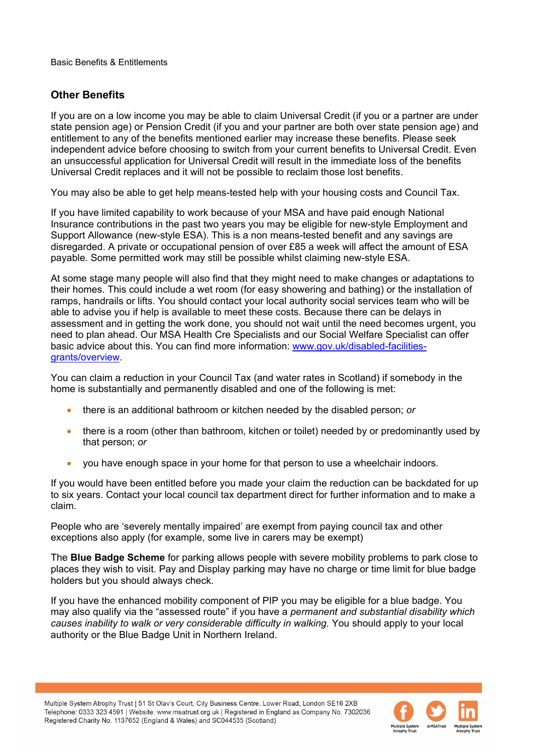## **Other Benefits**

If you are on a low income you may be able to claim Universal Credit (if you or a partner are under state pension age) or Pension Credit (if you and your partner are both over state pension age) and entitlement to any of the benefits mentioned earlier may increase these benefits. Please seek independent advice before choosing to switch from your current benefits to Universal Credit. Even an unsuccessful application for Universal Credit will result in the immediate loss of the benefits Universal Credit replaces and it will not be possible to reclaim those lost benefits.

You may also be able to get help means-tested help with your housing costs and Council Tax.

If you have limited capability to work because of your MSA and have paid enough National Insurance contributions in the past two years you may be eligible for new-style Employment and Support Allowance (new-style ESA). This is a non means-tested benefit and any savings are disregarded. A private or occupational pension of over £85 a week will affect the amount of ESA payable. Some permitted work may still be possible whilst claiming new-style ESA.

At some stage many people will also find that they might need to make changes or adaptations to their homes. This could include a wet room (for easy showering and bathing) or the installation of ramps, handrails or lifts. You should contact your local authority social services team who will be able to advise you if help is available to meet these costs. Because there can be delays in assessment and in getting the work done, you should not wait until the need becomes urgent, you need to plan ahead. Our MSA Health Cre Specialists and our Social Welfare Specialist can offer basic advice about this. You can find more information: [www.gov.uk/disabled-facilities](http://www.gov.uk/disabled-facilities-grants/overview)[grants/overview.](http://www.gov.uk/disabled-facilities-grants/overview)

You can claim a reduction in your Council Tax (and water rates in Scotland) if somebody in the home is substantially and permanently disabled and one of the following is met:

- there is an additional bathroom or kitchen needed by the disabled person; *or*
- there is a room (other than bathroom, kitchen or toilet) needed by or predominantly used by that person; *or*
- you have enough space in your home for that person to use a wheelchair indoors.

If you would have been entitled before you made your claim the reduction can be backdated for up to six years. Contact your local council tax department direct for further information and to make a claim.

People who are 'severely mentally impaired' are exempt from paying council tax and other exceptions also apply (for example, some live in carers may be exempt)

The **Blue Badge Scheme** for parking allows people with severe mobility problems to park close to places they wish to visit. Pay and Display parking may have no charge or time limit for blue badge holders but you should always check.

If you have the enhanced mobility component of PIP you may be eligible for a blue badge. You may also qualify via the "assessed route" if you have a *permanent and substantial disability which causes inability to walk or very considerable difficulty in walking.* You should apply to your local authority or the Blue Badge Unit in Northern Ireland.

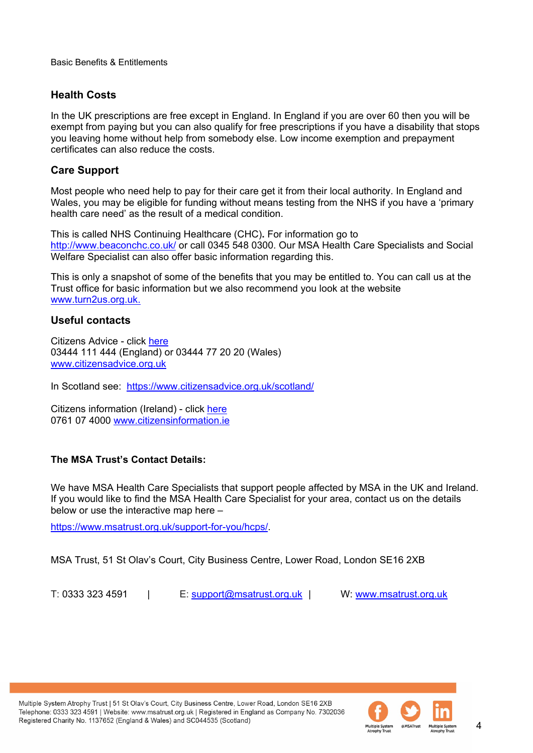### **Health Costs**

In the UK prescriptions are free except in England. In England if you are over 60 then you will be exempt from paying but you can also qualify for free prescriptions if you have a disability that stops you leaving home without help from somebody else. Low income exemption and prepayment certificates can also reduce the costs.

#### **Care Support**

Most people who need help to pay for their care get it from their local authority. In England and Wales, you may be eligible for funding without means testing from the NHS if you have a 'primary health care need' as the result of a medical condition.

This is called NHS Continuing Healthcare (CHC)**.** For information go to <http://www.beaconchc.co.uk/> or call 0345 548 0300. Our MSA Health Care Specialists and Social Welfare Specialist can also offer basic information regarding this.

This is only a snapshot of some of the benefits that you may be entitled to. You can call us at the Trust office for basic information but we also recommend you look at the website [www.turn2us.org.uk.](http://www.turn2us.org.uk/)

#### **Useful contacts**

Citizens Advice - click [here](https://www.citizensadvice.org.uk/benefits/) 03444 111 444 (England) or 03444 77 20 20 (Wales) [www.citizensadvice.org.uk](http://www.citizensadvice.org.uk/) 

In Scotland see: <https://www.citizensadvice.org.uk/scotland/>

Citizens information (Ireland) - click [here](http://www.citizensinformation.ie/) 0761 07 4000 [www.citizensinformation.ie](http://www.citizensinformation.ie/) 

#### **The MSA Trust's Contact Details:**

We have MSA Health Care Specialists that support people affected by MSA in the UK and Ireland. If you would like to find the MSA Health Care Specialist for your area, contact us on the details below or use the interactive map here –

[https://www.msatrust.org.uk/support-for-you/hcps/.](https://www.msatrust.org.uk/support-for-you/hcps/)

MSA Trust, 51 St Olav's Court, City Business Centre, Lower Road, London SE16 2XB

T: 0333 323 4591 | E: [support@msatrust.org.uk](mailto:support@msatrust.org.uk) | W: [www.msatrust.org.uk](http://www.msatrust.org.uk/)